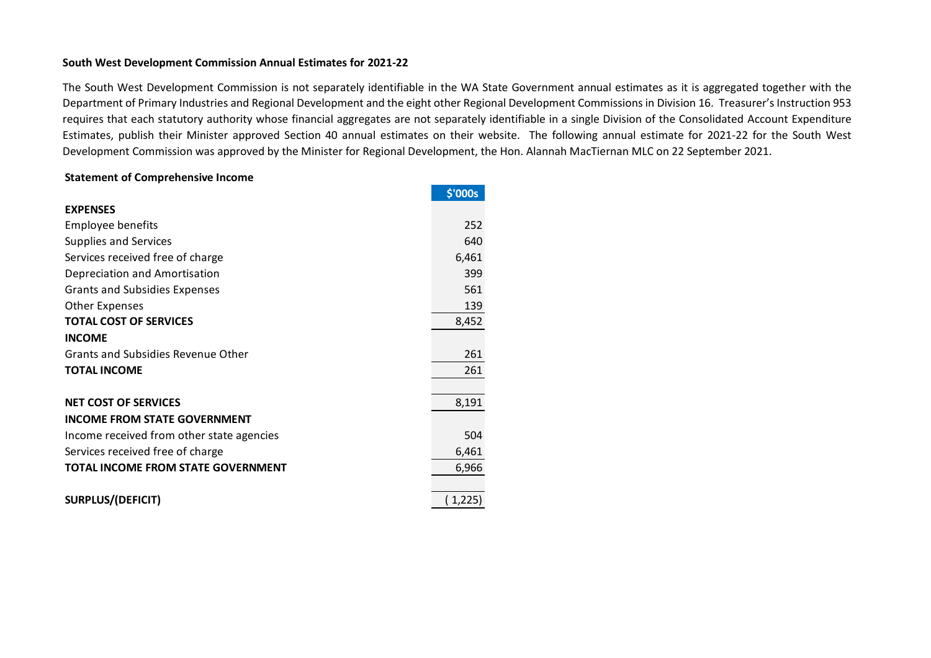## **South West Development Commission Annual Estimates for 2021-22**

The South West Development Commission is not separately identifiable in the WA State Government annual estimates as it is aggregated together with the Department of Primary Industries and Regional Development and the eight other Regional Development Commissions in Division 16. Treasurer's Instruction 953 requires that each statutory authority whose financial aggregates are not separately identifiable in a single Division of the Consolidated Account Expenditure Estimates, publish their Minister approved Section 40 annual estimates on their website. The following annual estimate for 2021-22 for the South West Development Commission was approved by the Minister for Regional Development, the Hon. Alannah MacTiernan MLC on 22 September 2021.

## **Statement of Comprehensive Income**

|                                           | \$'000s |
|-------------------------------------------|---------|
| <b>EXPENSES</b>                           |         |
| <b>Employee benefits</b>                  | 252     |
| <b>Supplies and Services</b>              | 640     |
| Services received free of charge          | 6,461   |
| Depreciation and Amortisation             | 399     |
| <b>Grants and Subsidies Expenses</b>      | 561     |
| <b>Other Expenses</b>                     | 139     |
| <b>TOTAL COST OF SERVICES</b>             | 8,452   |
| <b>INCOME</b>                             |         |
| <b>Grants and Subsidies Revenue Other</b> | 261     |
| <b>TOTAL INCOME</b>                       | 261     |
|                                           |         |
| <b>NET COST OF SERVICES</b>               | 8,191   |
| <b>INCOME FROM STATE GOVERNMENT</b>       |         |
| Income received from other state agencies | 504     |
| Services received free of charge          | 6,461   |
| TOTAL INCOME FROM STATE GOVERNMENT        | 6,966   |
|                                           |         |
| <b>SURPLUS/(DEFICIT)</b>                  | (1,225) |